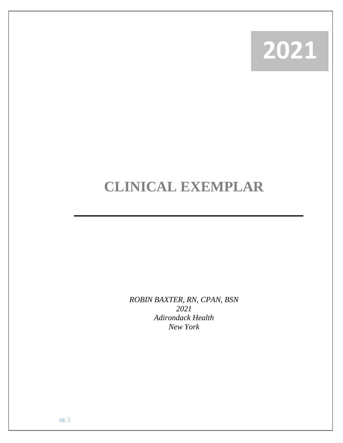

## **CLINICAL EXEMPLAR**

*ROBIN BAXTER, RN, CPAN, BSN 2021 Adirondack Health New York*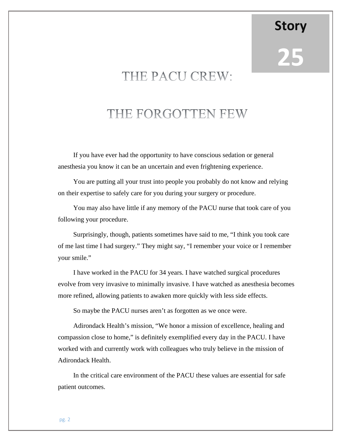**25**

**Story**

## THE PACU CREW:

## THE FORGOTTEN FEW

If you have ever had the opportunity to have conscious sedation or general anesthesia you know it can be an uncertain and even frightening experience.

You are putting all your trust into people you probably do not know and relying on their expertise to safely care for you during your surgery or procedure.

You may also have little if any memory of the PACU nurse that took care of you following your procedure.

Surprisingly, though, patients sometimes have said to me, "I think you took care of me last time I had surgery." They might say, "I remember your voice or I remember your smile."

I have worked in the PACU for 34 years. I have watched surgical procedures evolve from very invasive to minimally invasive. I have watched as anesthesia becomes more refined, allowing patients to awaken more quickly with less side effects.

So maybe the PACU nurses aren't as forgotten as we once were.

Adirondack Health's mission, "We honor a mission of excellence, healing and compassion close to home," is definitely exemplified every day in the PACU. I have worked with and currently work with colleagues who truly believe in the mission of Adirondack Health.

In the critical care environment of the PACU these values are essential for safe patient outcomes.